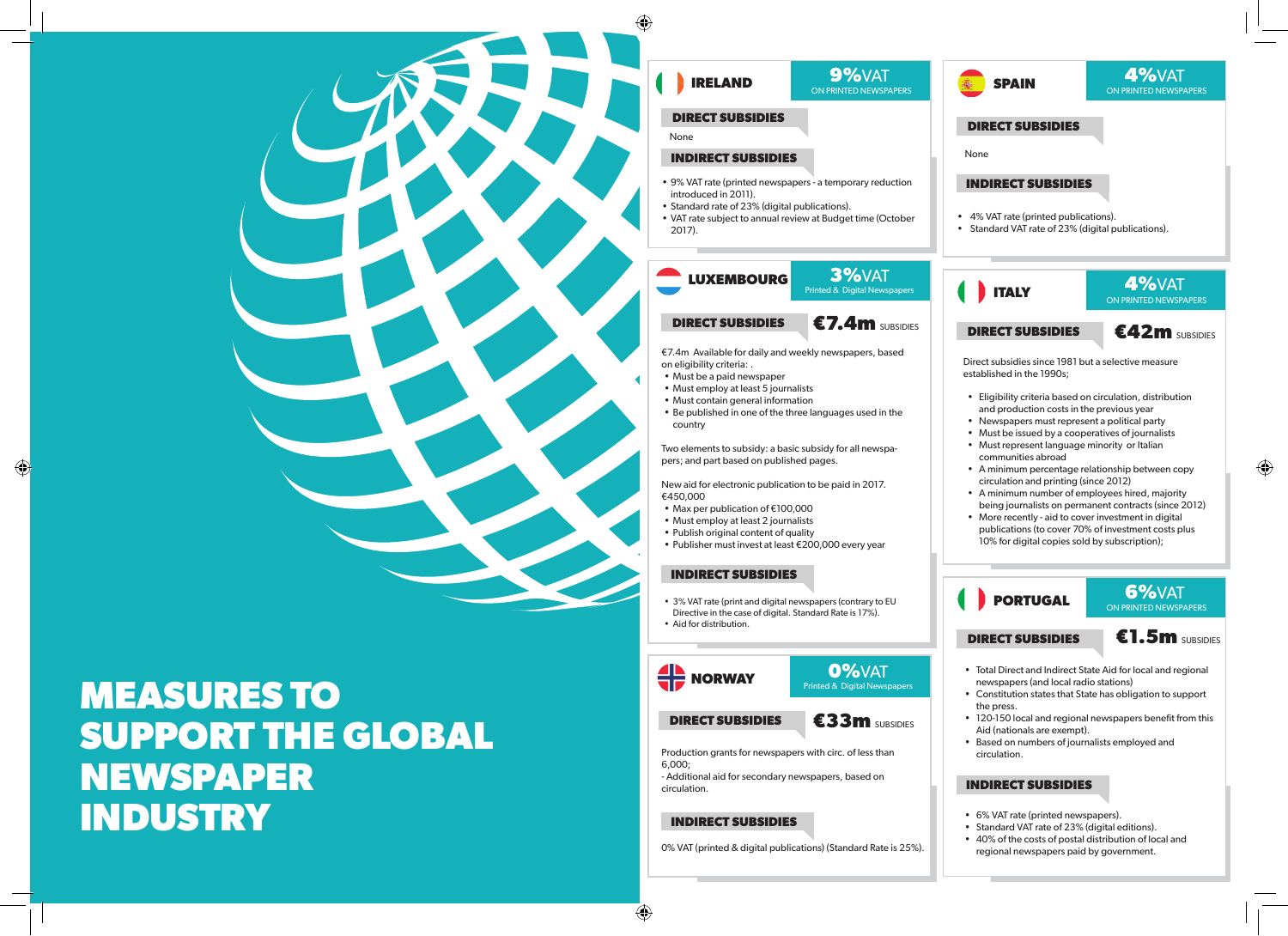

⊕

⊕